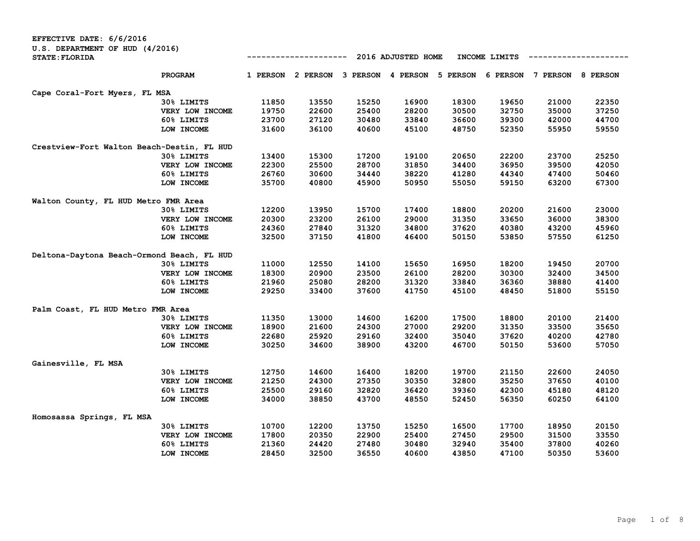| EFFECTIVE DATE: 6/6/2016                                 |                 |       |                   |       |                    |                                     |               |          |          |
|----------------------------------------------------------|-----------------|-------|-------------------|-------|--------------------|-------------------------------------|---------------|----------|----------|
| U.S. DEPARTMENT OF HUD (4/2016)<br><b>STATE: FLORIDA</b> |                 |       |                   |       | 2016 ADJUSTED HOME |                                     | INCOME LIMITS |          |          |
|                                                          | PROGRAM         |       | 1 PERSON 2 PERSON |       |                    | 3 PERSON 4 PERSON 5 PERSON 6 PERSON |               | 7 PERSON | 8 PERSON |
| Cape Coral-Fort Myers, FL MSA                            |                 |       |                   |       |                    |                                     |               |          |          |
|                                                          | 30% LIMITS      | 11850 | 13550             | 15250 | 16900              | 18300                               | 19650         | 21000    | 22350    |
|                                                          | VERY LOW INCOME | 19750 | 22600             | 25400 | 28200              | 30500                               | 32750         | 35000    | 37250    |
|                                                          | 60% LIMITS      | 23700 | 27120             | 30480 | 33840              | 36600                               | 39300         | 42000    | 44700    |
|                                                          | LOW INCOME      | 31600 | 36100             | 40600 | 45100              | 48750                               | 52350         | 55950    | 59550    |
| Crestview-Fort Walton Beach-Destin, FL HUD               |                 |       |                   |       |                    |                                     |               |          |          |
|                                                          | 30% LIMITS      | 13400 | 15300             | 17200 | 19100              | 20650                               | 22200         | 23700    | 25250    |
|                                                          | VERY LOW INCOME | 22300 | 25500             | 28700 | 31850              | 34400                               | 36950         | 39500    | 42050    |
|                                                          | 60% LIMITS      | 26760 | 30600             | 34440 | 38220              | 41280                               | 44340         | 47400    | 50460    |
|                                                          | LOW INCOME      | 35700 | 40800             | 45900 | 50950              | 55050                               | 59150         | 63200    | 67300    |
| Walton County, FL HUD Metro FMR Area                     |                 |       |                   |       |                    |                                     |               |          |          |
|                                                          | 30% LIMITS      | 12200 | 13950             | 15700 | 17400              | 18800                               | 20200         | 21600    | 23000    |
|                                                          | VERY LOW INCOME | 20300 | 23200             | 26100 | 29000              | 31350                               | 33650         | 36000    | 38300    |
|                                                          | 60% LIMITS      | 24360 | 27840             | 31320 | 34800              | 37620                               | 40380         | 43200    | 45960    |
|                                                          | LOW INCOME      | 32500 | 37150             | 41800 | 46400              | 50150                               | 53850         | 57550    | 61250    |
| Deltona-Daytona Beach-Ormond Beach, FL HUD               |                 |       |                   |       |                    |                                     |               |          |          |
|                                                          | 30% LIMITS      | 11000 | 12550             | 14100 | 15650              | 16950                               | 18200         | 19450    | 20700    |
|                                                          | VERY LOW INCOME | 18300 | 20900             | 23500 | 26100              | 28200                               | 30300         | 32400    | 34500    |
|                                                          | 60% LIMITS      | 21960 | 25080             | 28200 | 31320              | 33840                               | 36360         | 38880    | 41400    |
|                                                          | LOW INCOME      | 29250 | 33400             | 37600 | 41750              | 45100                               | 48450         | 51800    | 55150    |
| Palm Coast, FL HUD Metro FMR Area                        |                 |       |                   |       |                    |                                     |               |          |          |
|                                                          | 30% LIMITS      | 11350 | 13000             | 14600 | 16200              | 17500                               | 18800         | 20100    | 21400    |
|                                                          | VERY LOW INCOME | 18900 | 21600             | 24300 | 27000              | 29200                               | 31350         | 33500    | 35650    |
|                                                          | 60% LIMITS      | 22680 | 25920             | 29160 | 32400              | 35040                               | 37620         | 40200    | 42780    |
|                                                          | LOW INCOME      | 30250 | 34600             | 38900 | 43200              | 46700                               | 50150         | 53600    | 57050    |
| Gainesville, FL MSA                                      |                 |       |                   |       |                    |                                     |               |          |          |
|                                                          | 30% LIMITS      | 12750 | 14600             | 16400 | 18200              | 19700                               | 21150         | 22600    | 24050    |
|                                                          | VERY LOW INCOME | 21250 | 24300             | 27350 | 30350              | 32800                               | 35250         | 37650    | 40100    |
|                                                          | 60% LIMITS      | 25500 | 29160             | 32820 | 36420              | 39360                               | 42300         | 45180    | 48120    |
|                                                          | LOW INCOME      | 34000 | 38850             | 43700 | 48550              | 52450                               | 56350         | 60250    | 64100    |
| Homosassa Springs, FL MSA                                |                 |       |                   |       |                    |                                     |               |          |          |
|                                                          | 30% LIMITS      | 10700 | 12200             | 13750 | 15250              | 16500                               | 17700         | 18950    | 20150    |
|                                                          | VERY LOW INCOME | 17800 | 20350             | 22900 | 25400              | 27450                               | 29500         | 31500    | 33550    |
|                                                          | 60% LIMITS      | 21360 | 24420             | 27480 | 30480              | 32940                               | 35400         | 37800    | 40260    |
|                                                          | LOW INCOME      | 28450 | 32500             | 36550 | 40600              | 43850                               | 47100         | 50350    | 53600    |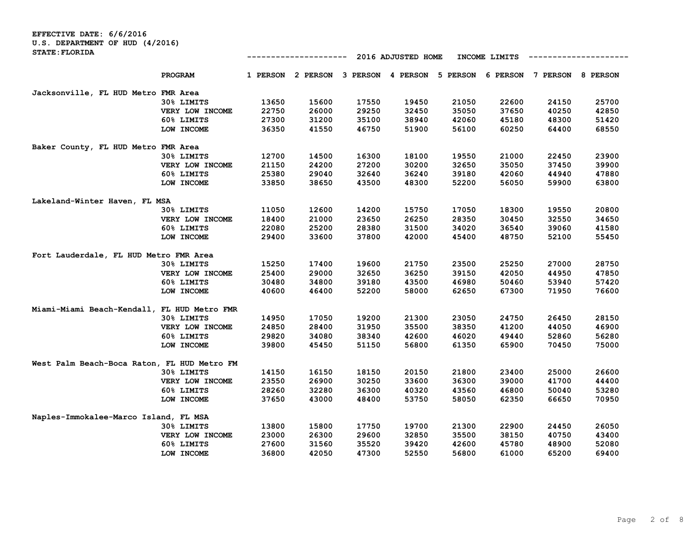**EFFECTIVE DATE: 6/6/2016 U.S. DEPARTMENT OF HUD (4/2016) STATE:FLORIDA**

| <b>STATE: FLORIDA</b>                       |                                |                |          |          | 2016 ADJUSTED HOME |          | INCOME LIMITS |                |          |
|---------------------------------------------|--------------------------------|----------------|----------|----------|--------------------|----------|---------------|----------------|----------|
|                                             | <b>PROGRAM</b>                 | 1 PERSON       | 2 PERSON | 3 PERSON | 4 PERSON           | 5 PERSON | 6 PERSON      | 7 PERSON       | 8 PERSON |
| Jacksonville, FL HUD Metro FMR Area         |                                |                |          |          |                    |          |               |                |          |
|                                             | 30% LIMITS                     | 13650          | 15600    | 17550    | 19450              | 21050    | 22600         | 24150          | 25700    |
|                                             | VERY LOW INCOME                | 22750          | 26000    | 29250    | 32450              | 35050    | 37650         | 40250          | 42850    |
|                                             | 60% LIMITS                     | 27300          | 31200    | 35100    | 38940              | 42060    | 45180         | 48300          | 51420    |
|                                             | LOW INCOME                     | 36350          | 41550    | 46750    | 51900              | 56100    | 60250         | 64400          | 68550    |
| Baker County, FL HUD Metro FMR Area         |                                |                |          |          |                    |          |               |                |          |
|                                             | 30% LIMITS                     | 12700          | 14500    | 16300    | 18100              | 19550    | 21000         | 22450          | 23900    |
|                                             | VERY LOW INCOME                | 21150          | 24200    | 27200    | 30200              | 32650    | 35050         | 37450          | 39900    |
|                                             | 60% LIMITS                     | 25380          | 29040    | 32640    | 36240              | 39180    | 42060         | 44940          | 47880    |
|                                             | LOW INCOME                     | 33850          | 38650    | 43500    | 48300              | 52200    | 56050         | 59900          | 63800    |
| Lakeland-Winter Haven, FL MSA               |                                |                |          |          |                    |          |               |                |          |
|                                             | 30% LIMITS                     | 11050          | 12600    | 14200    | 15750              | 17050    | 18300         | 19550          | 20800    |
|                                             | VERY LOW INCOME                | 18400          | 21000    | 23650    | 26250              | 28350    | 30450         | 32550          | 34650    |
|                                             | 60% LIMITS                     | 22080          | 25200    | 28380    | 31500              | 34020    | 36540         | 39060          | 41580    |
|                                             | LOW INCOME                     | 29400          | 33600    | 37800    | 42000              | 45400    | 48750         | 52100          | 55450    |
| Fort Lauderdale, FL HUD Metro FMR Area      |                                |                |          |          |                    |          |               |                |          |
|                                             | 30% LIMITS                     | 15250          | 17400    | 19600    | 21750              | 23500    | 25250         | 27000          | 28750    |
|                                             | VERY LOW INCOME                | 25400          | 29000    | 32650    | 36250              | 39150    | 42050         | 44950          | 47850    |
|                                             | 60% LIMITS                     | 30480          | 34800    | 39180    | 43500              | 46980    | 50460         | 53940          | 57420    |
|                                             | LOW INCOME                     | 40600          | 46400    | 52200    | 58000              | 62650    | 67300         | 71950          | 76600    |
|                                             |                                |                |          |          |                    |          |               |                |          |
| Miami-Miami Beach-Kendall,                  | FL HUD Metro FMR<br>30% LIMITS | 14950          | 17050    | 19200    | 21300              | 23050    | 24750         | 26450          | 28150    |
|                                             | VERY LOW INCOME                | 24850          | 28400    | 31950    | 35500              | 38350    | 41200         | 44050          | 46900    |
|                                             | 60% LIMITS                     | 29820          | 34080    | 38340    | 42600              | 46020    | 49440         | 52860          | 56280    |
|                                             | LOW INCOME                     | 39800          | 45450    | 51150    | 56800              | 61350    | 65900         | 70450          | 75000    |
|                                             |                                |                |          |          |                    |          |               |                |          |
| West Palm Beach-Boca Raton, FL HUD Metro FM | 30% LIMITS                     |                | 16150    | 18150    | 20150              | 21800    | 23400         |                | 26600    |
|                                             |                                | 14150<br>23550 | 26900    | 30250    | 33600              | 36300    | 39000         | 25000<br>41700 | 44400    |
|                                             | VERY LOW INCOME<br>60% LIMITS  | 28260          | 32280    | 36300    | 40320              | 43560    | 46800         | 50040          | 53280    |
|                                             |                                | 37650          | 43000    | 48400    | 53750              | 58050    | 62350         | 66650          | 70950    |
|                                             | LOW INCOME                     |                |          |          |                    |          |               |                |          |
| Naples-Immokalee-Marco Island, FL MSA       |                                |                |          |          |                    |          |               |                |          |
|                                             | 30% LIMITS                     | 13800          | 15800    | 17750    | 19700              | 21300    | 22900         | 24450          | 26050    |
|                                             | VERY LOW INCOME                | 23000          | 26300    | 29600    | 32850              | 35500    | 38150         | 40750          | 43400    |
|                                             | 60% LIMITS                     | 27600          | 31560    | 35520    | 39420              | 42600    | 45780         | 48900          | 52080    |
|                                             | LOW INCOME                     | 36800          | 42050    | 47300    | 52550              | 56800    | 61000         | 65200          | 69400    |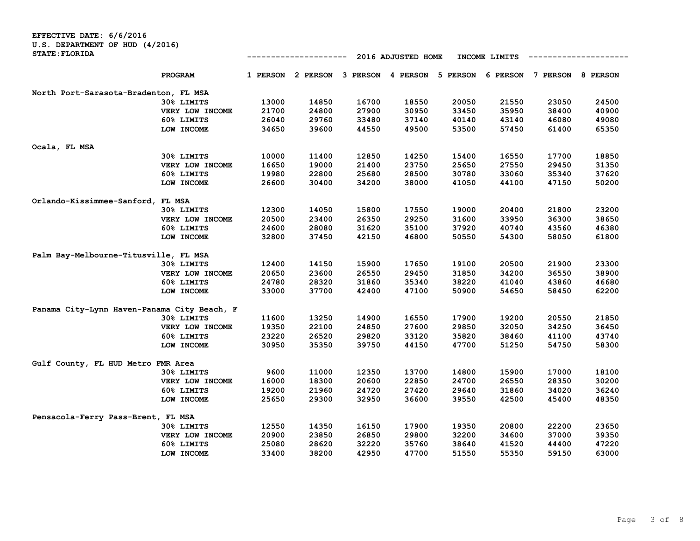| EFFECTIVE DATE: 6/6/2016                    |                 |          |          |       |                            |       |               |                 |                 |
|---------------------------------------------|-----------------|----------|----------|-------|----------------------------|-------|---------------|-----------------|-----------------|
| U.S. DEPARTMENT OF HUD (4/2016)             |                 |          |          |       |                            |       |               |                 |                 |
| <b>STATE: FLORIDA</b>                       |                 |          |          |       | 2016 ADJUSTED HOME         |       | INCOME LIMITS |                 |                 |
|                                             | PROGRAM         | 1 PERSON | 2 PERSON |       | 3 PERSON 4 PERSON 5 PERSON |       | 6 PERSON      | <b>7 PERSON</b> | <b>8 PERSON</b> |
| North Port-Sarasota-Bradenton, FL MSA       |                 |          |          |       |                            |       |               |                 |                 |
|                                             | 30% LIMITS      | 13000    | 14850    | 16700 | 18550                      | 20050 | 21550         | 23050           | 24500           |
|                                             | VERY LOW INCOME | 21700    | 24800    | 27900 | 30950                      | 33450 | 35950         | 38400           | 40900           |
|                                             | 60% LIMITS      | 26040    | 29760    | 33480 | 37140                      | 40140 | 43140         | 46080           | 49080           |
|                                             | LOW INCOME      | 34650    | 39600    | 44550 | 49500                      | 53500 | 57450         | 61400           | 65350           |
| Ocala, FL MSA                               |                 |          |          |       |                            |       |               |                 |                 |
|                                             | 30% LIMITS      | 10000    | 11400    | 12850 | 14250                      | 15400 | 16550         | 17700           | 18850           |
|                                             | VERY LOW INCOME | 16650    | 19000    | 21400 | 23750                      | 25650 | 27550         | 29450           | 31350           |
|                                             | 60% LIMITS      | 19980    | 22800    | 25680 | 28500                      | 30780 | 33060         | 35340           | 37620           |
|                                             | LOW INCOME      | 26600    | 30400    | 34200 | 38000                      | 41050 | 44100         | 47150           | 50200           |
| Orlando-Kissimmee-Sanford, FL MSA           |                 |          |          |       |                            |       |               |                 |                 |
|                                             | 30% LIMITS      | 12300    | 14050    | 15800 | 17550                      | 19000 | 20400         | 21800           | 23200           |
|                                             | VERY LOW INCOME | 20500    | 23400    | 26350 | 29250                      | 31600 | 33950         | 36300           | 38650           |
|                                             | 60% LIMITS      | 24600    | 28080    | 31620 | 35100                      | 37920 | 40740         | 43560           | 46380           |
|                                             | LOW INCOME      | 32800    | 37450    | 42150 | 46800                      | 50550 | 54300         | 58050           | 61800           |
| Palm Bay-Melbourne-Titusville, FL MSA       |                 |          |          |       |                            |       |               |                 |                 |
|                                             | 30% LIMITS      | 12400    | 14150    | 15900 | 17650                      | 19100 | 20500         | 21900           | 23300           |
|                                             | VERY LOW INCOME | 20650    | 23600    | 26550 | 29450                      | 31850 | 34200         | 36550           | 38900           |
|                                             | 60% LIMITS      | 24780    | 28320    | 31860 | 35340                      | 38220 | 41040         | 43860           | 46680           |
|                                             | LOW INCOME      | 33000    | 37700    | 42400 | 47100                      | 50900 | 54650         | 58450           | 62200           |
| Panama City-Lynn Haven-Panama City Beach, F |                 |          |          |       |                            |       |               |                 |                 |
|                                             | 30% LIMITS      | 11600    | 13250    | 14900 | 16550                      | 17900 | 19200         | 20550           | 21850           |
|                                             | VERY LOW INCOME | 19350    | 22100    | 24850 | 27600                      | 29850 | 32050         | 34250           | 36450           |
|                                             | 60% LIMITS      | 23220    | 26520    | 29820 | 33120                      | 35820 | 38460         | 41100           | 43740           |
|                                             | LOW INCOME      | 30950    | 35350    | 39750 | 44150                      | 47700 | 51250         | 54750           | 58300           |
| Gulf County, FL HUD Metro FMR Area          |                 |          |          |       |                            |       |               |                 |                 |
|                                             | 30% LIMITS      | 9600     | 11000    | 12350 | 13700                      | 14800 | 15900         | 17000           | 18100           |
|                                             | VERY LOW INCOME | 16000    | 18300    | 20600 | 22850                      | 24700 | 26550         | 28350           | 30200           |
|                                             | 60% LIMITS      | 19200    | 21960    | 24720 | 27420                      | 29640 | 31860         | 34020           | 36240           |
|                                             | LOW INCOME      | 25650    | 29300    | 32950 | 36600                      | 39550 | 42500         | 45400           | 48350           |
| Pensacola-Ferry Pass-Brent, FL MSA          |                 |          |          |       |                            |       |               |                 |                 |
|                                             | 30% LIMITS      | 12550    | 14350    | 16150 | 17900                      | 19350 | 20800         | 22200           | 23650           |
|                                             | VERY LOW INCOME | 20900    | 23850    | 26850 | 29800                      | 32200 | 34600         | 37000           | 39350           |
|                                             | 60% LIMITS      | 25080    | 28620    | 32220 | 35760                      | 38640 | 41520         | 44400           | 47220           |
|                                             | LOW INCOME      | 33400    | 38200    | 42950 | 47700                      | 51550 | 55350         | 59150           | 63000           |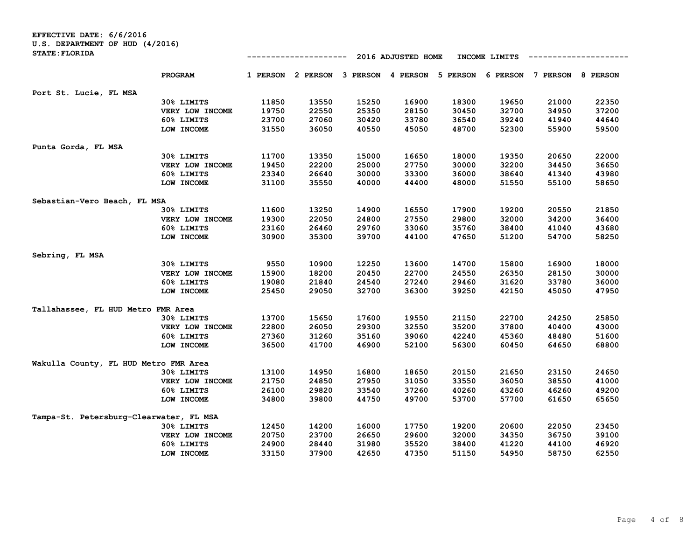| EFFECTIVE DATE: 6/6/2016                |                 |          |          |       |                    |          |                 |          |                 |
|-----------------------------------------|-----------------|----------|----------|-------|--------------------|----------|-----------------|----------|-----------------|
| U.S. DEPARTMENT OF HUD (4/2016)         |                 |          |          |       |                    |          |                 |          |                 |
| <b>STATE: FLORIDA</b>                   |                 |          |          |       | 2016 ADJUSTED HOME |          | INCOME LIMITS   |          |                 |
|                                         | PROGRAM         | 1 PERSON | 2 PERSON |       | 3 PERSON 4 PERSON  | 5 PERSON | <b>6 PERSON</b> | 7 PERSON | <b>8 PERSON</b> |
| Port St. Lucie, FL MSA                  |                 |          |          |       |                    |          |                 |          |                 |
|                                         | 30% LIMITS      | 11850    | 13550    | 15250 | 16900              | 18300    | 19650           | 21000    | 22350           |
|                                         | VERY LOW INCOME | 19750    | 22550    | 25350 | 28150              | 30450    | 32700           | 34950    | 37200           |
|                                         | 60% LIMITS      | 23700    | 27060    | 30420 | 33780              | 36540    | 39240           | 41940    | 44640           |
|                                         | LOW INCOME      | 31550    | 36050    | 40550 | 45050              | 48700    | 52300           | 55900    | 59500           |
| Punta Gorda, FL MSA                     |                 |          |          |       |                    |          |                 |          |                 |
|                                         | 30% LIMITS      | 11700    | 13350    | 15000 | 16650              | 18000    | 19350           | 20650    | 22000           |
|                                         | VERY LOW INCOME | 19450    | 22200    | 25000 | 27750              | 30000    | 32200           | 34450    | 36650           |
|                                         | 60% LIMITS      | 23340    | 26640    | 30000 | 33300              | 36000    | 38640           | 41340    | 43980           |
|                                         | LOW INCOME      | 31100    | 35550    | 40000 | 44400              | 48000    | 51550           | 55100    | 58650           |
| Sebastian-Vero Beach, FL MSA            |                 |          |          |       |                    |          |                 |          |                 |
|                                         | 30% LIMITS      | 11600    | 13250    | 14900 | 16550              | 17900    | 19200           | 20550    | 21850           |
|                                         | VERY LOW INCOME | 19300    | 22050    | 24800 | 27550              | 29800    | 32000           | 34200    | 36400           |
|                                         | 60% LIMITS      | 23160    | 26460    | 29760 | 33060              | 35760    | 38400           | 41040    | 43680           |
|                                         | LOW INCOME      | 30900    | 35300    | 39700 | 44100              | 47650    | 51200           | 54700    | 58250           |
| Sebring, FL MSA                         |                 |          |          |       |                    |          |                 |          |                 |
|                                         | 30% LIMITS      | 9550     | 10900    | 12250 | 13600              | 14700    | 15800           | 16900    | 18000           |
|                                         | VERY LOW INCOME | 15900    | 18200    | 20450 | 22700              | 24550    | 26350           | 28150    | 30000           |
|                                         | 60% LIMITS      | 19080    | 21840    | 24540 | 27240              | 29460    | 31620           | 33780    | 36000           |
|                                         | LOW INCOME      | 25450    | 29050    | 32700 | 36300              | 39250    | 42150           | 45050    | 47950           |
| Tallahassee, FL HUD Metro FMR Area      |                 |          |          |       |                    |          |                 |          |                 |
|                                         | 30% LIMITS      | 13700    | 15650    | 17600 | 19550              | 21150    | 22700           | 24250    | 25850           |
|                                         | VERY LOW INCOME | 22800    | 26050    | 29300 | 32550              | 35200    | 37800           | 40400    | 43000           |
|                                         | 60% LIMITS      | 27360    | 31260    | 35160 | 39060              | 42240    | 45360           | 48480    | 51600           |
|                                         | LOW INCOME      | 36500    | 41700    | 46900 | 52100              | 56300    | 60450           | 64650    | 68800           |
| Wakulla County, FL HUD Metro FMR Area   |                 |          |          |       |                    |          |                 |          |                 |
|                                         | 30% LIMITS      | 13100    | 14950    | 16800 | 18650              | 20150    | 21650           | 23150    | 24650           |
|                                         | VERY LOW INCOME | 21750    | 24850    | 27950 | 31050              | 33550    | 36050           | 38550    | 41000           |
|                                         | 60% LIMITS      | 26100    | 29820    | 33540 | 37260              | 40260    | 43260           | 46260    | 49200           |
|                                         | LOW INCOME      | 34800    | 39800    | 44750 | 49700              | 53700    | 57700           | 61650    | 65650           |
| Tampa-St. Petersburg-Clearwater, FL MSA |                 |          |          |       |                    |          |                 |          |                 |
|                                         | 30% LIMITS      | 12450    | 14200    | 16000 | 17750              | 19200    | 20600           | 22050    | 23450           |
|                                         | VERY LOW INCOME | 20750    | 23700    | 26650 | 29600              | 32000    | 34350           | 36750    | 39100           |
|                                         | 60% LIMITS      | 24900    | 28440    | 31980 | 35520              | 38400    | 41220           | 44100    | 46920           |
|                                         | LOW INCOME      | 33150    | 37900    | 42650 | 47350              | 51150    | 54950           | 58750    | 62550           |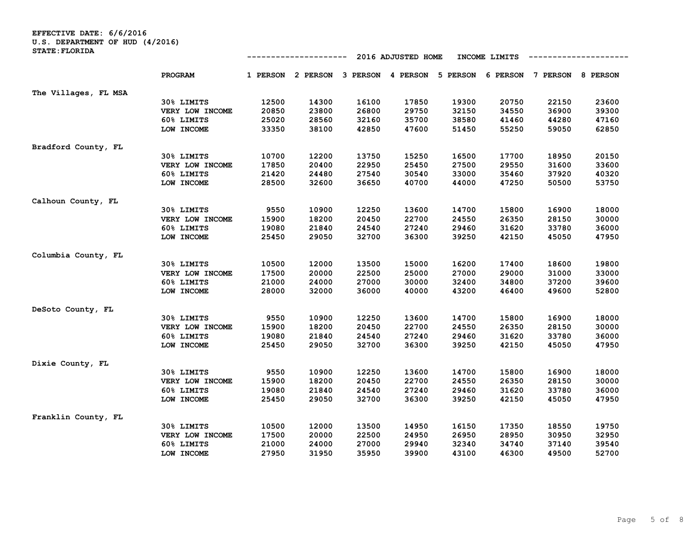**EFFECTIVE DATE: 6/6/2016 U.S. DEPARTMENT OF HUD (4/2016) STATE:FLORIDA**

|                      |                 |       |                                              |       | 2016 ADJUSTED HOME |       | INCOME LIMITS |                            |       |
|----------------------|-----------------|-------|----------------------------------------------|-------|--------------------|-------|---------------|----------------------------|-------|
|                      | <b>PROGRAM</b>  |       | 1 PERSON 2 PERSON 3 PERSON 4 PERSON 5 PERSON |       |                    |       |               | 6 PERSON 7 PERSON 8 PERSON |       |
| The Villages, FL MSA |                 |       |                                              |       |                    |       |               |                            |       |
|                      | 30% LIMITS      | 12500 | 14300                                        | 16100 | 17850              | 19300 | 20750         | 22150                      | 23600 |
|                      | VERY LOW INCOME | 20850 | 23800                                        | 26800 | 29750              | 32150 | 34550         | 36900                      | 39300 |
|                      | 60% LIMITS      | 25020 | 28560                                        | 32160 | 35700              | 38580 | 41460         | 44280                      | 47160 |
|                      | LOW INCOME      | 33350 | 38100                                        | 42850 | 47600              | 51450 | 55250         | 59050                      | 62850 |
| Bradford County, FL  |                 |       |                                              |       |                    |       |               |                            |       |
|                      | 30% LIMITS      | 10700 | 12200                                        | 13750 | 15250              | 16500 | 17700         | 18950                      | 20150 |
|                      | VERY LOW INCOME | 17850 | 20400                                        | 22950 | 25450              | 27500 | 29550         | 31600                      | 33600 |
|                      | 60% LIMITS      | 21420 | 24480                                        | 27540 | 30540              | 33000 | 35460         | 37920                      | 40320 |
|                      | LOW INCOME      | 28500 | 32600                                        | 36650 | 40700              | 44000 | 47250         | 50500                      | 53750 |
| Calhoun County, FL   |                 |       |                                              |       |                    |       |               |                            |       |
|                      | 30% LIMITS      | 9550  | 10900                                        | 12250 | 13600              | 14700 | 15800         | 16900                      | 18000 |
|                      | VERY LOW INCOME | 15900 | 18200                                        | 20450 | 22700              | 24550 | 26350         | 28150                      | 30000 |
|                      | 60% LIMITS      | 19080 | 21840                                        | 24540 | 27240              | 29460 | 31620         | 33780                      | 36000 |
|                      | LOW INCOME      | 25450 | 29050                                        | 32700 | 36300              | 39250 | 42150         | 45050                      | 47950 |
| Columbia County, FL  |                 |       |                                              |       |                    |       |               |                            |       |
|                      | 30% LIMITS      | 10500 | 12000                                        | 13500 | 15000              | 16200 | 17400         | 18600                      | 19800 |
|                      | VERY LOW INCOME | 17500 | 20000                                        | 22500 | 25000              | 27000 | 29000         | 31000                      | 33000 |
|                      | 60% LIMITS      | 21000 | 24000                                        | 27000 | 30000              | 32400 | 34800         | 37200                      | 39600 |
|                      | LOW INCOME      | 28000 | 32000                                        | 36000 | 40000              | 43200 | 46400         | 49600                      | 52800 |
| DeSoto County, FL    |                 |       |                                              |       |                    |       |               |                            |       |
|                      | 30% LIMITS      | 9550  | 10900                                        | 12250 | 13600              | 14700 | 15800         | 16900                      | 18000 |
|                      | VERY LOW INCOME | 15900 | 18200                                        | 20450 | 22700              | 24550 | 26350         | 28150                      | 30000 |
|                      | 60% LIMITS      | 19080 | 21840                                        | 24540 | 27240              | 29460 | 31620         | 33780                      | 36000 |
|                      | LOW INCOME      | 25450 | 29050                                        | 32700 | 36300              | 39250 | 42150         | 45050                      | 47950 |
| Dixie County, FL     |                 |       |                                              |       |                    |       |               |                            |       |
|                      | 30% LIMITS      | 9550  | 10900                                        | 12250 | 13600              | 14700 | 15800         | 16900                      | 18000 |
|                      | VERY LOW INCOME | 15900 | 18200                                        | 20450 | 22700              | 24550 | 26350         | 28150                      | 30000 |
|                      | 60% LIMITS      | 19080 | 21840                                        | 24540 | 27240              | 29460 | 31620         | 33780                      | 36000 |
|                      | LOW INCOME      | 25450 | 29050                                        | 32700 | 36300              | 39250 | 42150         | 45050                      | 47950 |
| Franklin County, FL  |                 |       |                                              |       |                    |       |               |                            |       |
|                      | 30% LIMITS      | 10500 | 12000                                        | 13500 | 14950              | 16150 | 17350         | 18550                      | 19750 |
|                      | VERY LOW INCOME | 17500 | 20000                                        | 22500 | 24950              | 26950 | 28950         | 30950                      | 32950 |
|                      | 60% LIMITS      | 21000 | 24000                                        | 27000 | 29940              | 32340 | 34740         | 37140                      | 39540 |
|                      | LOW INCOME      | 27950 | 31950                                        | 35950 | 39900              | 43100 | 46300         | 49500                      | 52700 |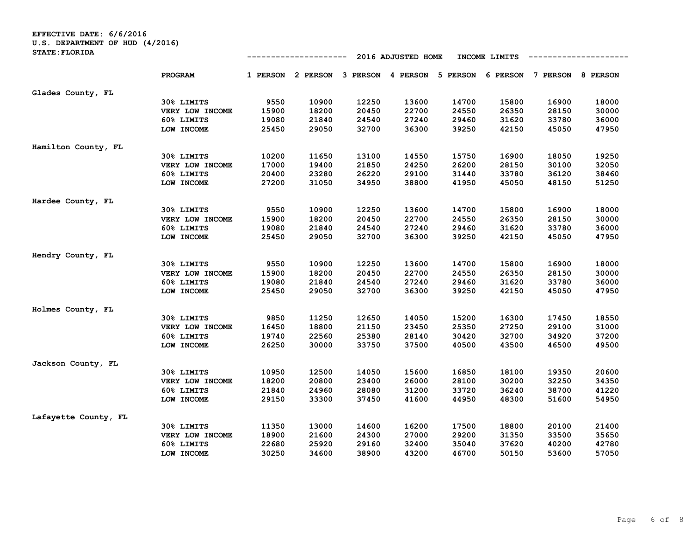| U.S. DEPARTMENT OF HUD (4/2016)<br><b>STATE: FLORIDA</b> |                 |                                     |          |          |          |          |          |          |                 |  |
|----------------------------------------------------------|-----------------|-------------------------------------|----------|----------|----------|----------|----------|----------|-----------------|--|
|                                                          |                 | 2016 ADJUSTED HOME<br>INCOME LIMITS |          |          |          |          |          |          |                 |  |
|                                                          | <b>PROGRAM</b>  | 1 PERSON                            | 2 PERSON | 3 PERSON | 4 PERSON | 5 PERSON | 6 PERSON | 7 PERSON | <b>8 PERSON</b> |  |
| Glades County, FL                                        |                 |                                     |          |          |          |          |          |          |                 |  |
|                                                          | 30% LIMITS      | 9550                                | 10900    | 12250    | 13600    | 14700    | 15800    | 16900    | 18000           |  |
|                                                          | VERY LOW INCOME | 15900                               | 18200    | 20450    | 22700    | 24550    | 26350    | 28150    | 30000           |  |
|                                                          | 60% LIMITS      | 19080                               | 21840    | 24540    | 27240    | 29460    | 31620    | 33780    | 36000           |  |
|                                                          | LOW INCOME      | 25450                               | 29050    | 32700    | 36300    | 39250    | 42150    | 45050    | 47950           |  |
| Hamilton County, FL                                      |                 |                                     |          |          |          |          |          |          |                 |  |
|                                                          | 30% LIMITS      | 10200                               | 11650    | 13100    | 14550    | 15750    | 16900    | 18050    | 19250           |  |
|                                                          | VERY LOW INCOME | 17000                               | 19400    | 21850    | 24250    | 26200    | 28150    | 30100    | 32050           |  |
|                                                          | 60% LIMITS      | 20400                               | 23280    | 26220    | 29100    | 31440    | 33780    | 36120    | 38460           |  |
|                                                          | LOW INCOME      | 27200                               | 31050    | 34950    | 38800    | 41950    | 45050    | 48150    | 51250           |  |
| Hardee County, FL                                        |                 |                                     |          |          |          |          |          |          |                 |  |
|                                                          | 30% LIMITS      | 9550                                | 10900    | 12250    | 13600    | 14700    | 15800    | 16900    | 18000           |  |
|                                                          | VERY LOW INCOME | 15900                               | 18200    | 20450    | 22700    | 24550    | 26350    | 28150    | 30000           |  |
|                                                          | 60% LIMITS      | 19080                               | 21840    | 24540    | 27240    | 29460    | 31620    | 33780    | 36000           |  |
|                                                          | LOW INCOME      | 25450                               | 29050    | 32700    | 36300    | 39250    | 42150    | 45050    | 47950           |  |
| Hendry County, FL                                        |                 |                                     |          |          |          |          |          |          |                 |  |
|                                                          | 30% LIMITS      | 9550                                | 10900    | 12250    | 13600    | 14700    | 15800    | 16900    | 18000           |  |
|                                                          | VERY LOW INCOME | 15900                               | 18200    | 20450    | 22700    | 24550    | 26350    | 28150    | 30000           |  |
|                                                          | 60% LIMITS      | 19080                               | 21840    | 24540    | 27240    | 29460    | 31620    | 33780    | 36000           |  |
|                                                          | LOW INCOME      | 25450                               | 29050    | 32700    | 36300    | 39250    | 42150    | 45050    | 47950           |  |
| Holmes County, FL                                        |                 |                                     |          |          |          |          |          |          |                 |  |
|                                                          | 30% LIMITS      | 9850                                | 11250    | 12650    | 14050    | 15200    | 16300    | 17450    | 18550           |  |
|                                                          | VERY LOW INCOME | 16450                               | 18800    | 21150    | 23450    | 25350    | 27250    | 29100    | 31000           |  |
|                                                          | 60% LIMITS      | 19740                               | 22560    | 25380    | 28140    | 30420    | 32700    | 34920    | 37200           |  |
|                                                          | LOW INCOME      | 26250                               | 30000    | 33750    | 37500    | 40500    | 43500    | 46500    | 49500           |  |
| Jackson County, FL                                       |                 |                                     |          |          |          |          |          |          |                 |  |
|                                                          | 30% LIMITS      | 10950                               | 12500    | 14050    | 15600    | 16850    | 18100    | 19350    | 20600           |  |
|                                                          | VERY LOW INCOME | 18200                               | 20800    | 23400    | 26000    | 28100    | 30200    | 32250    | 34350           |  |
|                                                          | 60% LIMITS      | 21840                               | 24960    | 28080    | 31200    | 33720    | 36240    | 38700    | 41220           |  |
|                                                          | LOW INCOME      | 29150                               | 33300    | 37450    | 41600    | 44950    | 48300    | 51600    | 54950           |  |
| Lafayette County, FL                                     |                 |                                     |          |          |          |          |          |          |                 |  |
|                                                          | 30% LIMITS      | 11350                               | 13000    | 14600    | 16200    | 17500    | 18800    | 20100    | 21400           |  |
|                                                          | VERY LOW INCOME | 18900                               | 21600    | 24300    | 27000    | 29200    | 31350    | 33500    | 35650           |  |
|                                                          | 60% LIMITS      | 22680                               | 25920    | 29160    | 32400    | 35040    | 37620    | 40200    | 42780           |  |
|                                                          | LOW INCOME      | 30250                               | 34600    | 38900    | 43200    | 46700    | 50150    | 53600    | 57050           |  |

**EFFECTIVE DATE: 6/6/2016**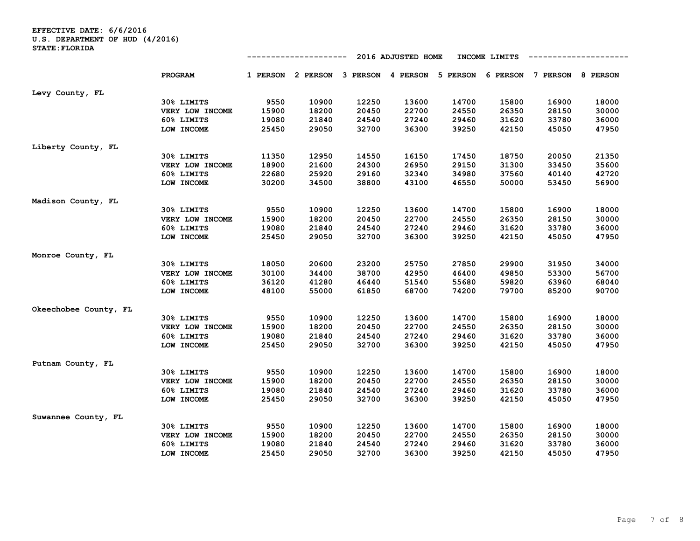**EFFECTIVE DATE: 6/6/2016 U.S. DEPARTMENT OF HUD (4/2016) STATE:FLORIDA**

|                       |                 |          |                                     |       | 2016 ADJUSTED HOME |       | INCOME LIMITS |                            |       |
|-----------------------|-----------------|----------|-------------------------------------|-------|--------------------|-------|---------------|----------------------------|-------|
|                       | <b>PROGRAM</b>  | 1 PERSON | 2 PERSON 3 PERSON 4 PERSON 5 PERSON |       |                    |       |               | 6 PERSON 7 PERSON 8 PERSON |       |
|                       |                 |          |                                     |       |                    |       |               |                            |       |
| Levy County, FL       |                 |          |                                     |       |                    |       |               |                            |       |
|                       | 30% LIMITS      | 9550     | 10900                               | 12250 | 13600              | 14700 | 15800         | 16900                      | 18000 |
|                       | VERY LOW INCOME | 15900    | 18200                               | 20450 | 22700              | 24550 | 26350         | 28150                      | 30000 |
|                       | 60% LIMITS      | 19080    | 21840                               | 24540 | 27240              | 29460 | 31620         | 33780                      | 36000 |
|                       | LOW INCOME      | 25450    | 29050                               | 32700 | 36300              | 39250 | 42150         | 45050                      | 47950 |
| Liberty County, FL    |                 |          |                                     |       |                    |       |               |                            |       |
|                       | 30% LIMITS      | 11350    | 12950                               | 14550 | 16150              | 17450 | 18750         | 20050                      | 21350 |
|                       | VERY LOW INCOME | 18900    | 21600                               | 24300 | 26950              | 29150 | 31300         | 33450                      | 35600 |
|                       | 60% LIMITS      | 22680    | 25920                               | 29160 | 32340              | 34980 | 37560         | 40140                      | 42720 |
|                       | LOW INCOME      | 30200    | 34500                               | 38800 | 43100              | 46550 | 50000         | 53450                      | 56900 |
| Madison County, FL    |                 |          |                                     |       |                    |       |               |                            |       |
|                       | 30% LIMITS      | 9550     | 10900                               | 12250 | 13600              | 14700 | 15800         | 16900                      | 18000 |
|                       | VERY LOW INCOME | 15900    | 18200                               | 20450 | 22700              | 24550 | 26350         | 28150                      | 30000 |
|                       | 60% LIMITS      | 19080    | 21840                               | 24540 | 27240              | 29460 | 31620         | 33780                      | 36000 |
|                       | LOW INCOME      | 25450    | 29050                               | 32700 | 36300              | 39250 | 42150         | 45050                      | 47950 |
| Monroe County, FL     |                 |          |                                     |       |                    |       |               |                            |       |
|                       | 30% LIMITS      | 18050    | 20600                               | 23200 | 25750              | 27850 | 29900         | 31950                      | 34000 |
|                       | VERY LOW INCOME | 30100    | 34400                               | 38700 | 42950              | 46400 | 49850         | 53300                      | 56700 |
|                       | 60% LIMITS      | 36120    | 41280                               | 46440 | 51540              | 55680 | 59820         | 63960                      | 68040 |
|                       | LOW INCOME      | 48100    | 55000                               | 61850 | 68700              | 74200 | 79700         | 85200                      | 90700 |
| Okeechobee County, FL |                 |          |                                     |       |                    |       |               |                            |       |
|                       | 30% LIMITS      | 9550     | 10900                               | 12250 | 13600              | 14700 | 15800         | 16900                      | 18000 |
|                       | VERY LOW INCOME | 15900    | 18200                               | 20450 | 22700              | 24550 | 26350         | 28150                      | 30000 |
|                       | 60% LIMITS      | 19080    | 21840                               | 24540 | 27240              | 29460 | 31620         | 33780                      | 36000 |
|                       | LOW INCOME      | 25450    | 29050                               | 32700 | 36300              | 39250 | 42150         | 45050                      | 47950 |
| Putnam County, FL     |                 |          |                                     |       |                    |       |               |                            |       |
|                       | 30% LIMITS      | 9550     | 10900                               | 12250 | 13600              | 14700 | 15800         | 16900                      | 18000 |
|                       | VERY LOW INCOME | 15900    | 18200                               | 20450 | 22700              | 24550 | 26350         | 28150                      | 30000 |
|                       | 60% LIMITS      | 19080    | 21840                               | 24540 | 27240              | 29460 | 31620         | 33780                      | 36000 |
|                       | LOW INCOME      | 25450    | 29050                               | 32700 | 36300              | 39250 | 42150         | 45050                      | 47950 |
|                       |                 |          |                                     |       |                    |       |               |                            |       |
| Suwannee County, FL   |                 |          |                                     |       |                    |       |               |                            |       |
|                       | 30% LIMITS      | 9550     | 10900                               | 12250 | 13600              | 14700 | 15800         | 16900                      | 18000 |
|                       | VERY LOW INCOME | 15900    | 18200                               | 20450 | 22700              | 24550 | 26350         | 28150                      | 30000 |
|                       | 60% LIMITS      | 19080    | 21840                               | 24540 | 27240              | 29460 | 31620         | 33780                      | 36000 |
|                       | LOW INCOME      | 25450    | 29050                               | 32700 | 36300              | 39250 | 42150         | 45050                      | 47950 |